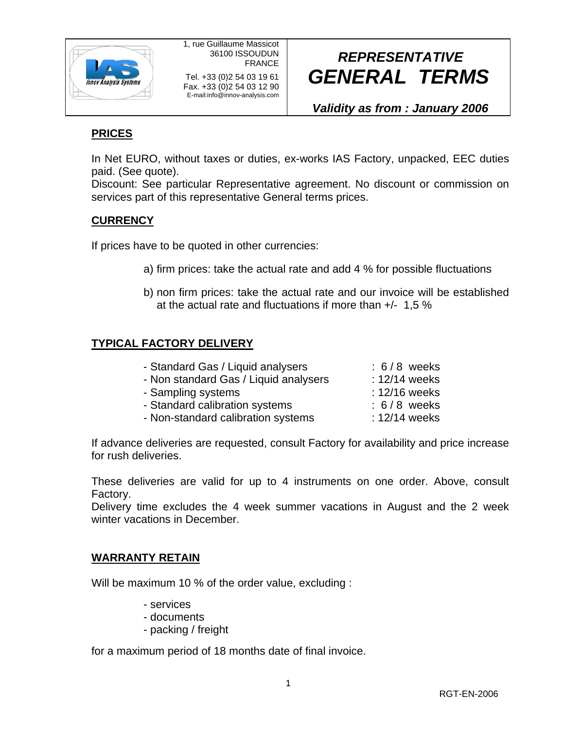

# *REPRESENTATIVE GENERAL TERMS*

*Validity as from : January 2006*

## **PRICES**

In Net EURO, without taxes or duties, ex-works IAS Factory, unpacked, EEC duties paid. (See quote).

Discount: See particular Representative agreement. No discount or commission on services part of this representative General terms prices.

### **CURRENCY**

If prices have to be quoted in other currencies:

- a) firm prices: take the actual rate and add 4 % for possible fluctuations
- b) non firm prices: take the actual rate and our invoice will be established at the actual rate and fluctuations if more than +/- 1,5 %

### **TYPICAL FACTORY DELIVERY**

| - Standard Gas / Liquid analysers     | $: 6/8$ weeks |
|---------------------------------------|---------------|
| - Non standard Gas / Liquid analysers | : 12/14 weeks |
| - Sampling systems                    | : 12/16 weeks |
| - Standard calibration systems        | $: 6/8$ weeks |
| - Non-standard calibration systems    | : 12/14 weeks |
|                                       |               |

If advance deliveries are requested, consult Factory for availability and price increase for rush deliveries.

These deliveries are valid for up to 4 instruments on one order. Above, consult Factory.

Delivery time excludes the 4 week summer vacations in August and the 2 week winter vacations in December.

### **WARRANTY RETAIN**

Will be maximum 10 % of the order value, excluding :

- services
- documents
- packing / freight

for a maximum period of 18 months date of final invoice.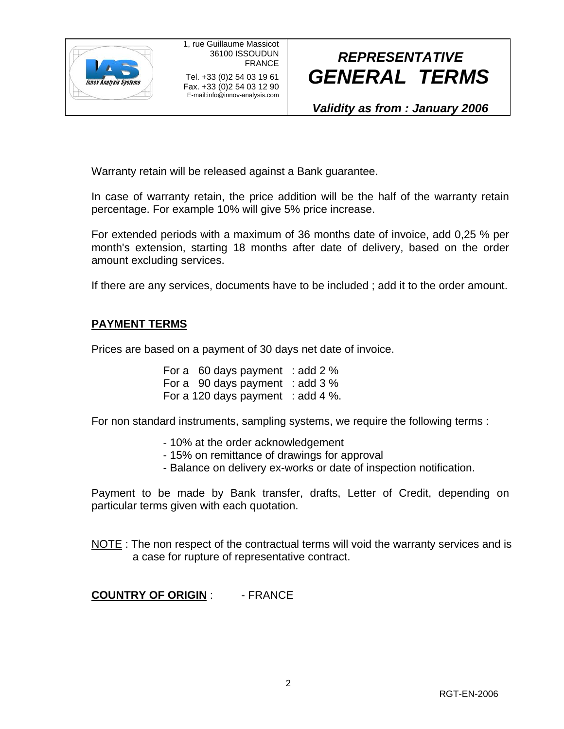

# *REPRESENTATIVE GENERAL TERMS*

*Validity as from : January 2006*

Warranty retain will be released against a Bank guarantee.

In case of warranty retain, the price addition will be the half of the warranty retain percentage. For example 10% will give 5% price increase.

For extended periods with a maximum of 36 months date of invoice, add 0,25 % per month's extension, starting 18 months after date of delivery, based on the order amount excluding services.

If there are any services, documents have to be included ; add it to the order amount.

#### **PAYMENT TERMS**

Prices are based on a payment of 30 days net date of invoice.

For a 60 days payment : add 2 % For a 90 days payment : add 3 % For a 120 days payment : add 4 %.

For non standard instruments, sampling systems, we require the following terms :

- 10% at the order acknowledgement
- 15% on remittance of drawings for approval
- Balance on delivery ex-works or date of inspection notification.

Payment to be made by Bank transfer, drafts, Letter of Credit, depending on particular terms given with each quotation.

NOTE : The non respect of the contractual terms will void the warranty services and is a case for rupture of representative contract.

**COUNTRY OF ORIGIN** : - FRANCE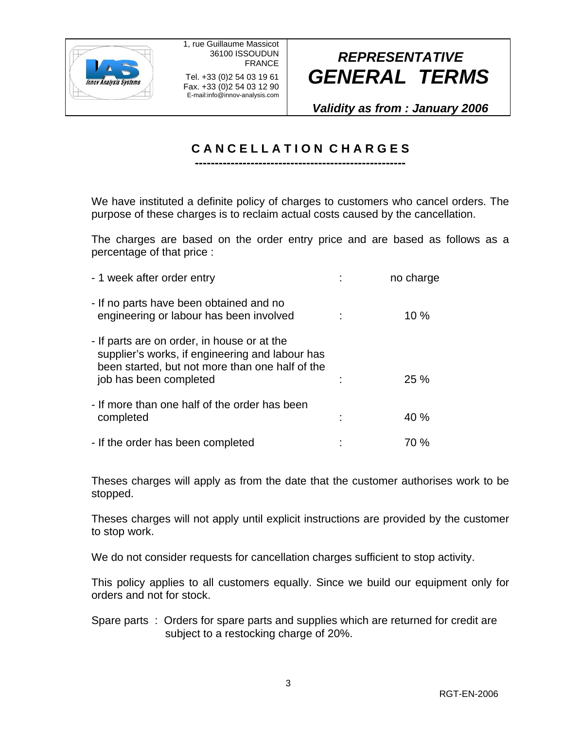

Fax. +33 (0)2 54 03 12 90 E-mail:info@innov-analysis.com

# *REPRESENTATIVE GENERAL TERMS*

*Validity as from : January 2006*

### **C A N C E L L A T I O N C H A R G E S -----------------------------------------------------**

We have instituted a definite policy of charges to customers who cancel orders. The purpose of these charges is to reclaim actual costs caused by the cancellation.

The charges are based on the order entry price and are based as follows as a percentage of that price :

| - 1 week after order entry                                                                                                                                                  | no charge |
|-----------------------------------------------------------------------------------------------------------------------------------------------------------------------------|-----------|
| - If no parts have been obtained and no<br>engineering or labour has been involved                                                                                          | 10%       |
| - If parts are on order, in house or at the<br>supplier's works, if engineering and labour has<br>been started, but not more than one half of the<br>job has been completed | 25%       |
| - If more than one half of the order has been<br>completed                                                                                                                  | 40%       |
| - If the order has been completed                                                                                                                                           | 70 %      |

Theses charges will apply as from the date that the customer authorises work to be stopped.

Theses charges will not apply until explicit instructions are provided by the customer to stop work.

We do not consider requests for cancellation charges sufficient to stop activity.

This policy applies to all customers equally. Since we build our equipment only for orders and not for stock.

Spare parts : Orders for spare parts and supplies which are returned for credit are subject to a restocking charge of 20%.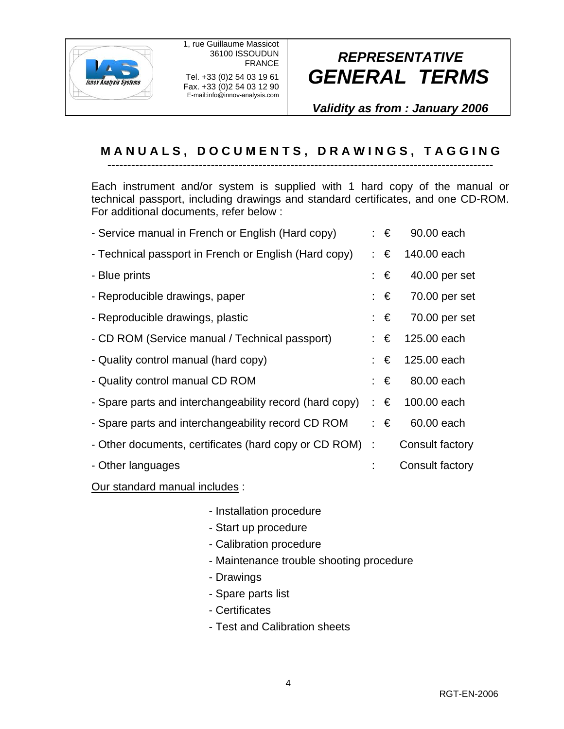

## *REPRESENTATIVE GENERAL TERMS*

*Validity as from : January 2006*

### **M A N U A L S , D O C U M E N T S , D R A W I N G S , T A G G I N G** -------------------------------------------------------------------------------------------------

Each instrument and/or system is supplied with 1 hard copy of the manual or technical passport, including drawings and standard certificates, and one CD-ROM. For additional documents, refer below :

| - Service manual in French or English (Hard copy)       | ∶€ | 90.00 each      |
|---------------------------------------------------------|----|-----------------|
| - Technical passport in French or English (Hard copy)   | ∶€ | 140.00 each     |
| - Blue prints                                           | €  | 40.00 per set   |
| - Reproducible drawings, paper                          | ∶€ | 70.00 per set   |
| - Reproducible drawings, plastic                        | ∶€ | 70.00 per set   |
| - CD ROM (Service manual / Technical passport)          | ∶€ | 125.00 each     |
| - Quality control manual (hard copy)                    | €  | 125.00 each     |
| - Quality control manual CD ROM                         | ∶€ | 80.00 each      |
| - Spare parts and interchangeability record (hard copy) | ∶€ | 100.00 each     |
| - Spare parts and interchangeability record CD ROM      | ∶€ | 60.00 each      |
| - Other documents, certificates (hard copy or CD ROM) : |    | Consult factory |
| - Other languages                                       |    | Consult factory |

#### Our standard manual includes :

- Installation procedure
- Start up procedure
- Calibration procedure
- Maintenance trouble shooting procedure
- Drawings
- Spare parts list
- Certificates
- Test and Calibration sheets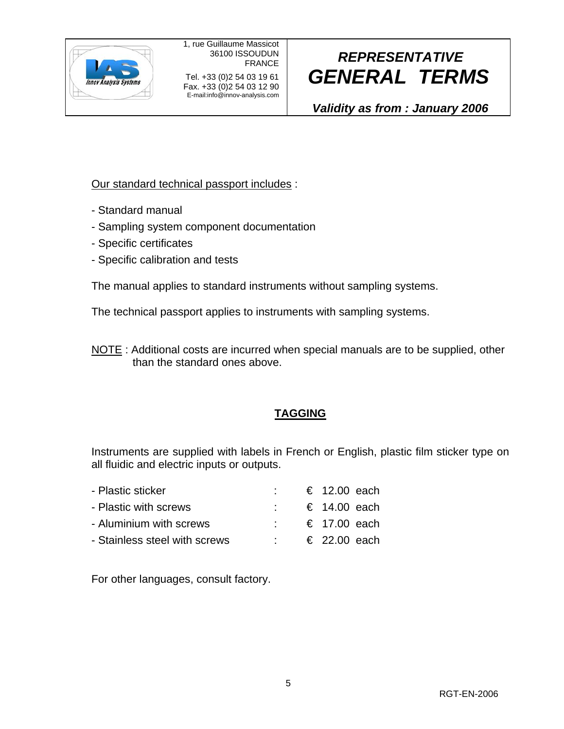

Fax. +33 (0)2 54 03 12 90 E-mail:info@innov-analysis.com

# *REPRESENTATIVE GENERAL TERMS*

*Validity as from : January 2006*

### Our standard technical passport includes :

- Standard manual
- Sampling system component documentation
- Specific certificates
- Specific calibration and tests

The manual applies to standard instruments without sampling systems.

The technical passport applies to instruments with sampling systems.

NOTE : Additional costs are incurred when special manuals are to be supplied, other than the standard ones above.

### **TAGGING**

Instruments are supplied with labels in French or English, plastic film sticker type on all fluidic and electric inputs or outputs.

| - Plastic sticker             |  | € 12.00 each          |  |
|-------------------------------|--|-----------------------|--|
| - Plastic with screws         |  | € 14.00 each          |  |
| - Aluminium with screws       |  | € 17.00 each          |  |
| - Stainless steel with screws |  | $\epsilon$ 22.00 each |  |

For other languages, consult factory.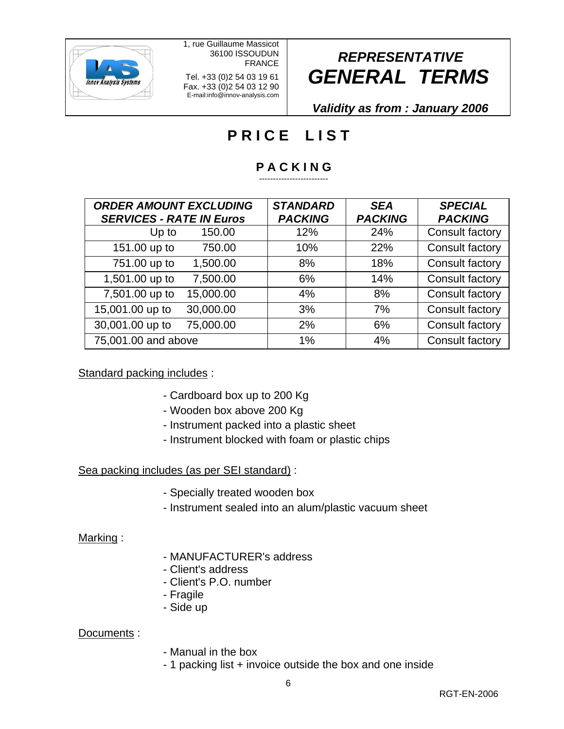

1, rue Guillaume Massicot 36100 ISSOUDUN FRANCE

Tel. +33 (0)2 54 03 19 61 Fax. +33 (0)2 54 03 12 90 E-mail:info@innov-analysis.com

# *REPRESENTATIVE GENERAL TERMS*

*Validity as from : January 2006*

## **PRICE LIST**

#### **P A C K I N G**  -------------------------

| <b>ORDER AMOUNT EXCLUDING</b><br><b>SERVICES - RATE IN Euros</b> |           | <b>STANDARD</b><br><b>PACKING</b> | <b>SEA</b><br><b>PACKING</b> | <b>SPECIAL</b><br><b>PACKING</b> |
|------------------------------------------------------------------|-----------|-----------------------------------|------------------------------|----------------------------------|
| Up to                                                            | 150.00    | 12%                               | 24%                          | <b>Consult factory</b>           |
| 151.00 up to                                                     | 750.00    | 10%                               | 22%                          | Consult factory                  |
| 751.00 up to                                                     | 1,500.00  | 8%                                | 18%                          | Consult factory                  |
| 1,501.00 up to                                                   | 7,500.00  | 6%                                | 14%                          | Consult factory                  |
| 7,501.00 up to                                                   | 15,000.00 | 4%                                | 8%                           | Consult factory                  |
| 15,001.00 up to                                                  | 30,000.00 | 3%                                | 7%                           | Consult factory                  |
| 30,001.00 up to                                                  | 75,000.00 | 2%                                | 6%                           | Consult factory                  |
| 75,001.00 and above                                              |           | 1%                                | 4%                           | Consult factory                  |

#### Standard packing includes :

- Cardboard box up to 200 Kg
- Wooden box above 200 Kg
- Instrument packed into a plastic sheet
- Instrument blocked with foam or plastic chips

### Sea packing includes (as per SEI standard) :

- Specially treated wooden box
- Instrument sealed into an alum/plastic vacuum sheet

#### Marking :

- MANUFACTURER's address
- Client's address
- Client's P.O. number
- Fragile
- Side up

#### Documents :

- Manual in the box
- 1 packing list + invoice outside the box and one inside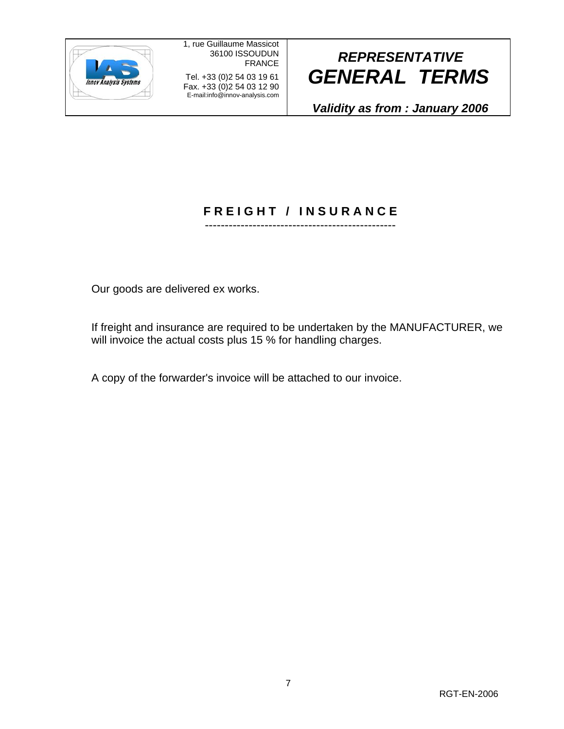

Fax. +33 (0)2 54 03 12 90 E-mail:info@innov-analysis.com

# *REPRESENTATIVE GENERAL TERMS*

*Validity as from : January 2006*

#### **F R E I G H T / I N S U R A N C E** ------------------------------------------------

Our goods are delivered ex works.

If freight and insurance are required to be undertaken by the MANUFACTURER, we will invoice the actual costs plus 15 % for handling charges.

A copy of the forwarder's invoice will be attached to our invoice.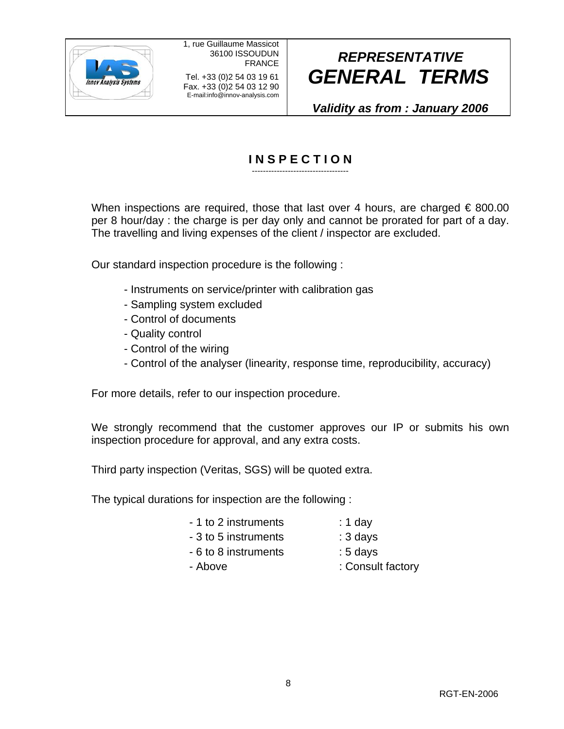

Fax. +33 (0)2 54 03 12 90 E-mail:info@innov-analysis.com

# *REPRESENTATIVE GENERAL TERMS*

*Validity as from : January 2006*

#### **I N S P E C T I O N**  -----------------------------------

When inspections are required, those that last over 4 hours, are charged  $\epsilon$  800.00 per 8 hour/day : the charge is per day only and cannot be prorated for part of a day. The travelling and living expenses of the client / inspector are excluded.

Our standard inspection procedure is the following :

- Instruments on service/printer with calibration gas
- Sampling system excluded
- Control of documents
- Quality control
- Control of the wiring
- Control of the analyser (linearity, response time, reproducibility, accuracy)

For more details, refer to our inspection procedure.

We strongly recommend that the customer approves our IP or submits his own inspection procedure for approval, and any extra costs.

Third party inspection (Veritas, SGS) will be quoted extra.

The typical durations for inspection are the following :

- 1 to 2 instruments : 1 day
- 3 to 5 instruments : 3 days
	- 6 to 8 instruments : 5 days
	-
	- Above : Consult factory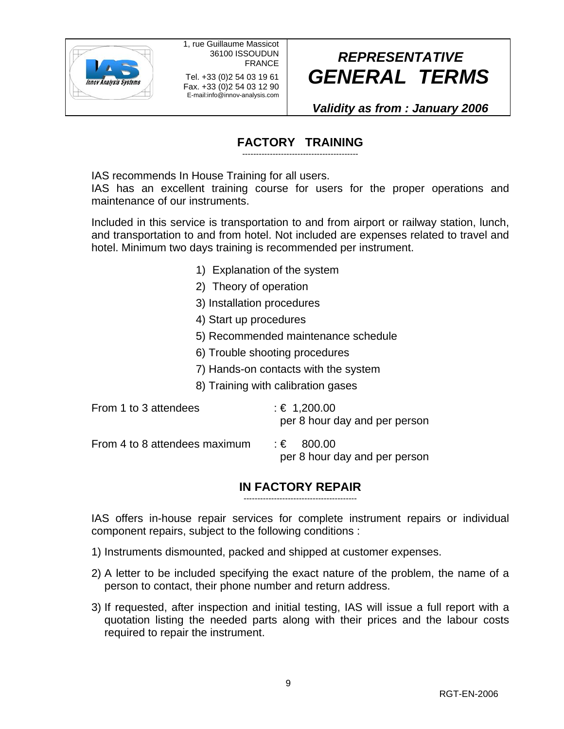

Fax. +33 (0)2 54 03 12 90 E-mail:info@innov-analysis.com

# *REPRESENTATIVE GENERAL TERMS*

*Validity as from : January 2006*

## **FACTORY TRAINING**

------------------------------------------

IAS recommends In House Training for all users.

IAS has an excellent training course for users for the proper operations and maintenance of our instruments.

Included in this service is transportation to and from airport or railway station, lunch, and transportation to and from hotel. Not included are expenses related to travel and hotel. Minimum two days training is recommended per instrument.

- 1) Explanation of the system
- 2) Theory of operation
- 3) Installation procedures
- 4) Start up procedures
- 5) Recommended maintenance schedule
- 6) Trouble shooting procedures
- 7) Hands-on contacts with the system

8) Training with calibration gases

| From 1 to 3 attendees         | : € 1,200.00<br>per 8 hour day and per person |
|-------------------------------|-----------------------------------------------|
| From 4 to 8 attendees maximum | : € 800.00<br>per 8 hour day and per person   |

#### **IN FACTORY REPAIR**  -----------------------------------------

IAS offers in-house repair services for complete instrument repairs or individual component repairs, subject to the following conditions :

- 1) Instruments dismounted, packed and shipped at customer expenses.
- 2) A letter to be included specifying the exact nature of the problem, the name of a person to contact, their phone number and return address.
- 3) If requested, after inspection and initial testing, IAS will issue a full report with a quotation listing the needed parts along with their prices and the labour costs required to repair the instrument.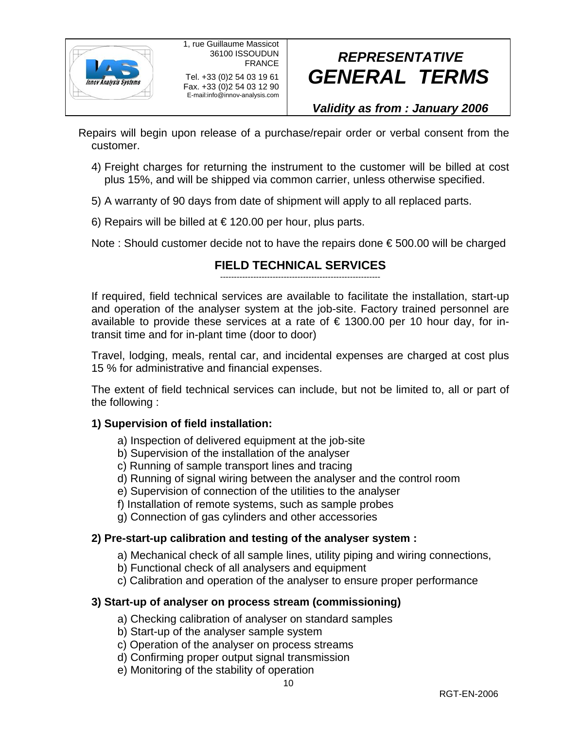

# *REPRESENTATIVE GENERAL TERMS*

### *Validity as from : January 2006*

Repairs will begin upon release of a purchase/repair order or verbal consent from the customer.

- 4) Freight charges for returning the instrument to the customer will be billed at cost plus 15%, and will be shipped via common carrier, unless otherwise specified.
- 5) A warranty of 90 days from date of shipment will apply to all replaced parts.
- 6) Repairs will be billed at  $\epsilon$  120.00 per hour, plus parts.

Note : Should customer decide not to have the repairs done € 500.00 will be charged

## **FIELD TECHNICAL SERVICES**

----------------------------------------------------------

If required, field technical services are available to facilitate the installation, start-up and operation of the analyser system at the job-site. Factory trained personnel are available to provide these services at a rate of  $\epsilon$  1300.00 per 10 hour day, for intransit time and for in-plant time (door to door)

Travel, lodging, meals, rental car, and incidental expenses are charged at cost plus 15 % for administrative and financial expenses.

The extent of field technical services can include, but not be limited to, all or part of the following :

### **1) Supervision of field installation:**

- a) Inspection of delivered equipment at the job-site
- b) Supervision of the installation of the analyser
- c) Running of sample transport lines and tracing
- d) Running of signal wiring between the analyser and the control room
- e) Supervision of connection of the utilities to the analyser
- f) Installation of remote systems, such as sample probes
- g) Connection of gas cylinders and other accessories

#### **2) Pre-start-up calibration and testing of the analyser system :**

- a) Mechanical check of all sample lines, utility piping and wiring connections,
- b) Functional check of all analysers and equipment
- c) Calibration and operation of the analyser to ensure proper performance

#### **3) Start-up of analyser on process stream (commissioning)**

- a) Checking calibration of analyser on standard samples
- b) Start-up of the analyser sample system
- c) Operation of the analyser on process streams
- d) Confirming proper output signal transmission
- e) Monitoring of the stability of operation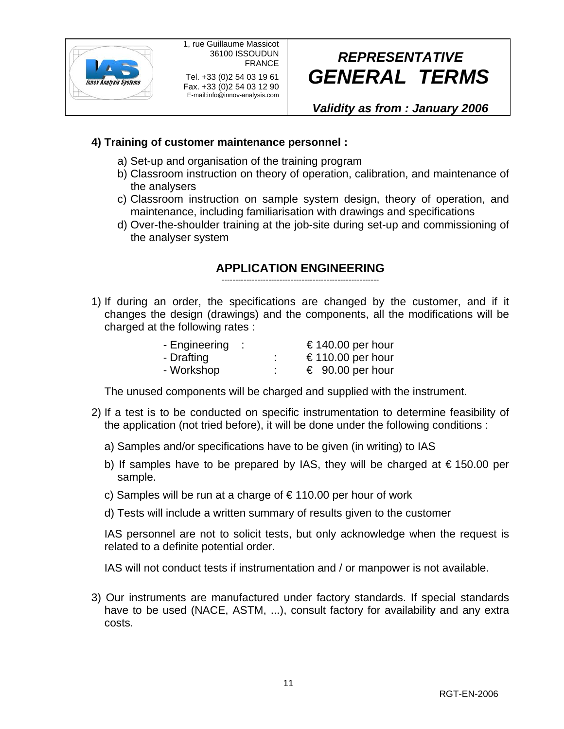

# *REPRESENTATIVE GENERAL TERMS*

*Validity as from : January 2006*

### **4) Training of customer maintenance personnel :**

- a) Set-up and organisation of the training program
- b) Classroom instruction on theory of operation, calibration, and maintenance of the analysers
- c) Classroom instruction on sample system design, theory of operation, and maintenance, including familiarisation with drawings and specifications
- d) Over-the-shoulder training at the job-site during set-up and commissioning of the analyser system

## **APPLICATION ENGINEERING**

---------------------------------------------------------

1) If during an order, the specifications are changed by the customer, and if it changes the design (drawings) and the components, all the modifications will be charged at the following rates :

| - Engineering |        | € 140.00 per hour |
|---------------|--------|-------------------|
| - Drafting    | ٠<br>٠ | €110.00 per hour  |
| - Workshop    | ٠<br>٠ | € 90.00 per hour  |

The unused components will be charged and supplied with the instrument.

- 2) If a test is to be conducted on specific instrumentation to determine feasibility of the application (not tried before), it will be done under the following conditions :
	- a) Samples and/or specifications have to be given (in writing) to IAS
	- b) If samples have to be prepared by IAS, they will be charged at € 150.00 per sample.
	- c) Samples will be run at a charge of  $\epsilon$  110.00 per hour of work
	- d) Tests will include a written summary of results given to the customer

IAS personnel are not to solicit tests, but only acknowledge when the request is related to a definite potential order.

IAS will not conduct tests if instrumentation and / or manpower is not available.

3) Our instruments are manufactured under factory standards. If special standards have to be used (NACE, ASTM, ...), consult factory for availability and any extra costs.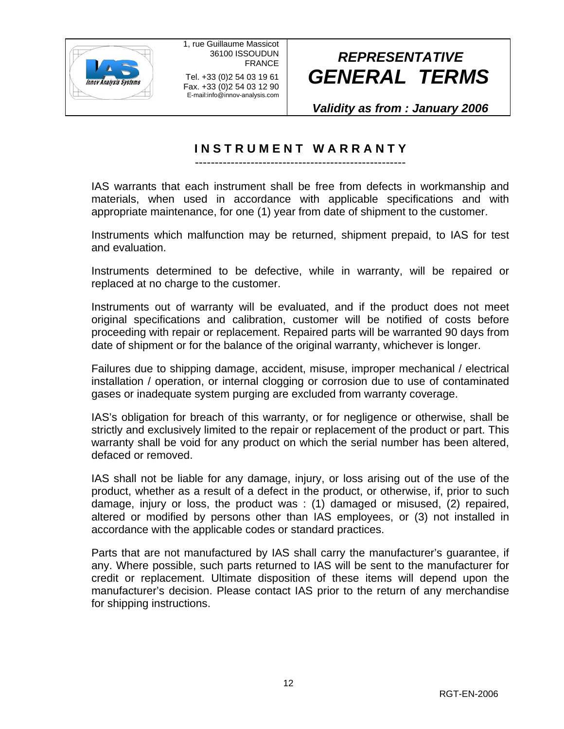

Fax. +33 (0)2 54 03 12 90 E-mail:info@innov-analysis.com

# *REPRESENTATIVE GENERAL TERMS*

*Validity as from : January 2006*

## **I N S T R U M E N T W A R R A N T Y**

-----------------------------------------------------

IAS warrants that each instrument shall be free from defects in workmanship and materials, when used in accordance with applicable specifications and with appropriate maintenance, for one (1) year from date of shipment to the customer.

Instruments which malfunction may be returned, shipment prepaid, to IAS for test and evaluation.

Instruments determined to be defective, while in warranty, will be repaired or replaced at no charge to the customer.

Instruments out of warranty will be evaluated, and if the product does not meet original specifications and calibration, customer will be notified of costs before proceeding with repair or replacement. Repaired parts will be warranted 90 days from date of shipment or for the balance of the original warranty, whichever is longer.

Failures due to shipping damage, accident, misuse, improper mechanical / electrical installation / operation, or internal clogging or corrosion due to use of contaminated gases or inadequate system purging are excluded from warranty coverage.

IAS's obligation for breach of this warranty, or for negligence or otherwise, shall be strictly and exclusively limited to the repair or replacement of the product or part. This warranty shall be void for any product on which the serial number has been altered, defaced or removed.

IAS shall not be liable for any damage, injury, or loss arising out of the use of the product, whether as a result of a defect in the product, or otherwise, if, prior to such damage, injury or loss, the product was : (1) damaged or misused, (2) repaired, altered or modified by persons other than IAS employees, or (3) not installed in accordance with the applicable codes or standard practices.

Parts that are not manufactured by IAS shall carry the manufacturer's guarantee, if any. Where possible, such parts returned to IAS will be sent to the manufacturer for credit or replacement. Ultimate disposition of these items will depend upon the manufacturer's decision. Please contact IAS prior to the return of any merchandise for shipping instructions.